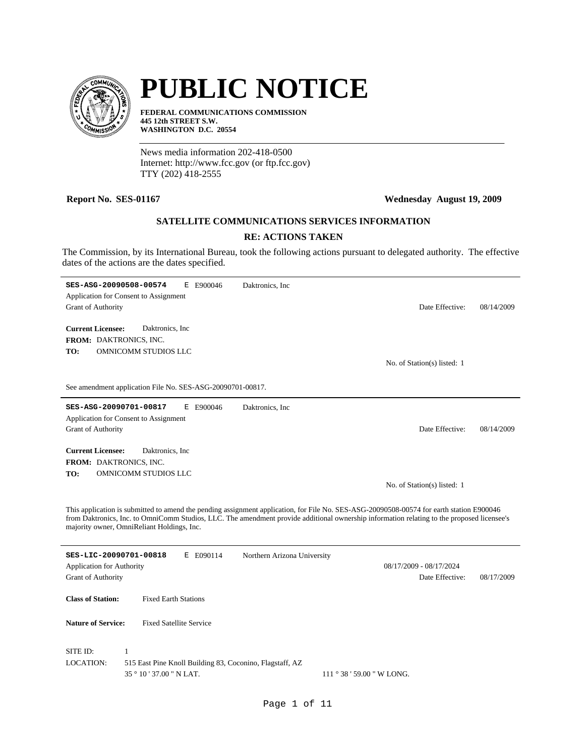

# **PUBLIC NOTICE**

**FEDERAL COMMUNICATIONS COMMISSION 445 12th STREET S.W. WASHINGTON D.C. 20554**

News media information 202-418-0500 Internet: http://www.fcc.gov (or ftp.fcc.gov) TTY (202) 418-2555

 $\overline{a}$ 

# **Report No. SES-01167 Wednesday August 19, 2009**

# **SATELLITE COMMUNICATIONS SERVICES INFORMATION**

# **RE: ACTIONS TAKEN**

The Commission, by its International Bureau, took the following actions pursuant to delegated authority. The effective dates of the actions are the dates specified.

| SES-ASG-20090508-00574<br><b>Grant of Authority</b>           | Ε<br>Application for Consent to Assignment                                                           | E900046   | Daktronics, Inc.                                                                                                                                                                                                                                                                       | Date Effective:                            | 08/14/2009 |
|---------------------------------------------------------------|------------------------------------------------------------------------------------------------------|-----------|----------------------------------------------------------------------------------------------------------------------------------------------------------------------------------------------------------------------------------------------------------------------------------------|--------------------------------------------|------------|
| <b>Current Licensee:</b><br>FROM: DAKTRONICS, INC.<br>TO:     | Daktronics, Inc.<br>OMNICOMM STUDIOS LLC                                                             |           |                                                                                                                                                                                                                                                                                        | No. of Station(s) listed: 1                |            |
|                                                               | See amendment application File No. SES-ASG-20090701-00817.                                           |           |                                                                                                                                                                                                                                                                                        |                                            |            |
| SES-ASG-20090701-00817<br><b>Grant of Authority</b>           | Application for Consent to Assignment                                                                | E E900046 | Daktronics, Inc.                                                                                                                                                                                                                                                                       | Date Effective:                            | 08/14/2009 |
| <b>Current Licensee:</b><br>FROM: DAKTRONICS, INC.<br>TO:     | Daktronics, Inc.<br>OMNICOMM STUDIOS LLC                                                             |           |                                                                                                                                                                                                                                                                                        | No. of Station(s) listed: 1                |            |
|                                                               | majority owner, OmniReliant Holdings, Inc.                                                           |           | This application is submitted to amend the pending assignment application, for File No. SES-ASG-20090508-00574 for earth station E900046<br>from Daktronics, Inc. to OmniComm Studios, LLC. The amendment provide additional ownership information relating to the proposed licensee's |                                            |            |
| SES-LIC-20090701-00818                                        |                                                                                                      | E E090114 | Northern Arizona University                                                                                                                                                                                                                                                            |                                            |            |
| <b>Application for Authority</b><br><b>Grant of Authority</b> |                                                                                                      |           |                                                                                                                                                                                                                                                                                        | 08/17/2009 - 08/17/2024<br>Date Effective: | 08/17/2009 |
| <b>Class of Station:</b>                                      | <b>Fixed Earth Stations</b>                                                                          |           |                                                                                                                                                                                                                                                                                        |                                            |            |
| <b>Nature of Service:</b>                                     | <b>Fixed Satellite Service</b>                                                                       |           |                                                                                                                                                                                                                                                                                        |                                            |            |
| SITE ID:<br><b>LOCATION:</b>                                  | $\mathbf{1}$<br>515 East Pine Knoll Building 83, Coconino, Flagstaff, AZ<br>35 ° 10 ' 37.00 " N LAT. |           |                                                                                                                                                                                                                                                                                        | $111°38'59.00''$ W LONG.                   |            |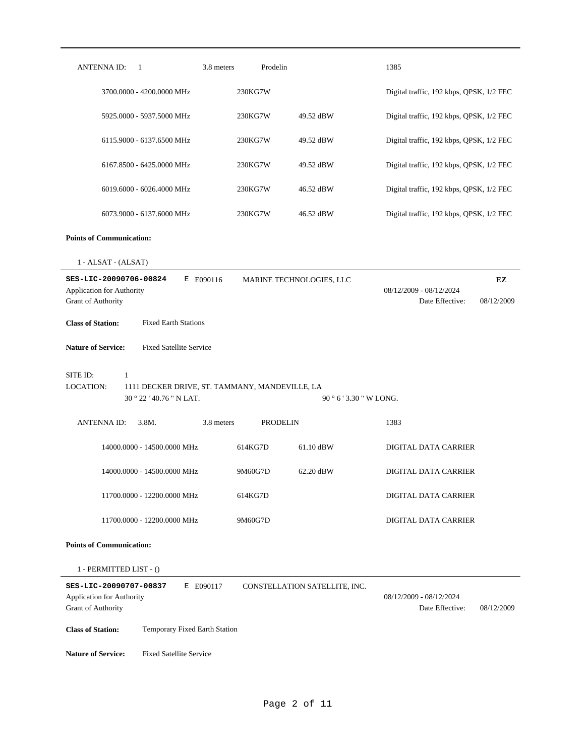| <b>ANTENNA ID:</b><br>1                                                                                                    | 3.8 meters<br>Prodelin        |                               | 1385                                                     |  |
|----------------------------------------------------------------------------------------------------------------------------|-------------------------------|-------------------------------|----------------------------------------------------------|--|
| 3700.0000 - 4200.0000 MHz                                                                                                  | 230KG7W                       |                               | Digital traffic, 192 kbps, QPSK, 1/2 FEC                 |  |
| 5925.0000 - 5937.5000 MHz                                                                                                  | 230KG7W                       | 49.52 dBW                     | Digital traffic, 192 kbps, QPSK, 1/2 FEC                 |  |
| 6115.9000 - 6137.6500 MHz                                                                                                  | 230KG7W                       | 49.52 dBW                     | Digital traffic, 192 kbps, QPSK, 1/2 FEC                 |  |
| 6167.8500 - 6425.0000 MHz                                                                                                  | 230KG7W                       | 49.52 dBW                     | Digital traffic, 192 kbps, QPSK, 1/2 FEC                 |  |
| 6019.6000 - 6026.4000 MHz                                                                                                  | 230KG7W                       | 46.52 dBW                     | Digital traffic, 192 kbps, QPSK, 1/2 FEC                 |  |
| 6073.9000 - 6137.6000 MHz                                                                                                  | 230KG7W                       | 46.52 dBW                     | Digital traffic, 192 kbps, QPSK, 1/2 FEC                 |  |
| <b>Points of Communication:</b>                                                                                            |                               |                               |                                                          |  |
| 1 - ALSAT - (ALSAT)                                                                                                        |                               |                               |                                                          |  |
| SES-LIC-20090706-00824<br>E E090116<br><b>Application for Authority</b>                                                    |                               | MARINE TECHNOLOGIES, LLC      | EZ<br>08/12/2009 - 08/12/2024                            |  |
| Grant of Authority                                                                                                         |                               |                               | Date Effective:<br>08/12/2009                            |  |
| <b>Fixed Earth Stations</b><br><b>Class of Station:</b>                                                                    |                               |                               |                                                          |  |
| <b>Fixed Satellite Service</b><br><b>Nature of Service:</b>                                                                |                               |                               |                                                          |  |
|                                                                                                                            |                               |                               |                                                          |  |
| SITE ID:<br>$\mathbf{1}$<br><b>LOCATION:</b><br>1111 DECKER DRIVE, ST. TAMMANY, MANDEVILLE, LA<br>30 ° 22 ' 40.76 " N LAT. |                               | 90 ° 6 ' 3.30 " W LONG.       |                                                          |  |
| <b>ANTENNAID:</b><br>3.8M.                                                                                                 | 3.8 meters<br><b>PRODELIN</b> |                               | 1383                                                     |  |
| 14000.0000 - 14500.0000 MHz                                                                                                | 614KG7D                       | 61.10 dBW                     | DIGITAL DATA CARRIER                                     |  |
| 14000.0000 - 14500.0000 MHz                                                                                                | 9M60G7D                       | 62.20 dBW                     | DIGITAL DATA CARRIER                                     |  |
| 11700.0000 - 12200.0000 MHz                                                                                                | 614KG7D                       |                               | DIGITAL DATA CARRIER                                     |  |
| 11700.0000 - 12200.0000 MHz                                                                                                | 9M60G7D                       |                               | DIGITAL DATA CARRIER                                     |  |
| <b>Points of Communication:</b>                                                                                            |                               |                               |                                                          |  |
| 1 - PERMITTED LIST - ()                                                                                                    |                               |                               |                                                          |  |
| SES-LIC-20090707-00837<br>E E090117<br><b>Application for Authority</b><br><b>Grant of Authority</b>                       |                               | CONSTELLATION SATELLITE, INC. | 08/12/2009 - 08/12/2024<br>Date Effective:<br>08/12/2009 |  |
| <b>Class of Station:</b><br>Temporary Fixed Earth Station                                                                  |                               |                               |                                                          |  |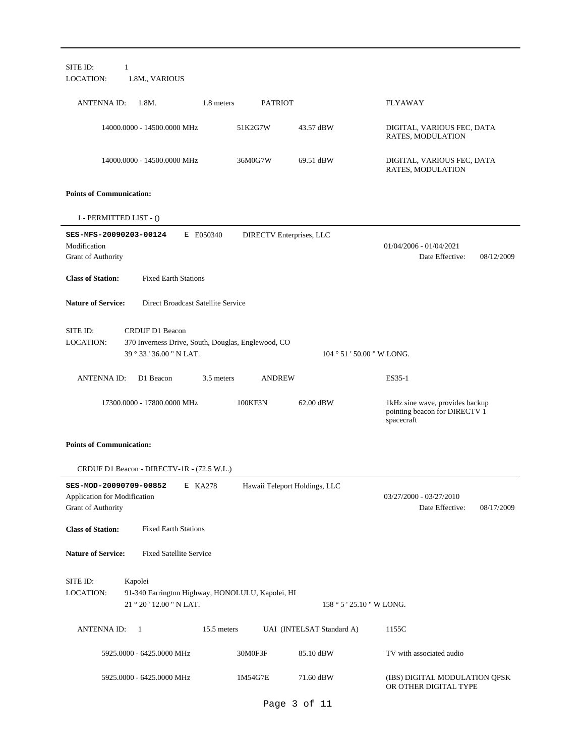| SITE ID:<br>LOCATION:                                            | 1<br>1.8M., VARIOUS                                                                                      |             |                                 |                                                |                                                                                |
|------------------------------------------------------------------|----------------------------------------------------------------------------------------------------------|-------------|---------------------------------|------------------------------------------------|--------------------------------------------------------------------------------|
| ANTENNA ID:                                                      | 1.8M.                                                                                                    | 1.8 meters  | <b>PATRIOT</b>                  |                                                | <b>FLYAWAY</b>                                                                 |
|                                                                  | 14000.0000 - 14500.0000 MHz                                                                              |             | 51K2G7W                         | 43.57 dBW                                      | DIGITAL, VARIOUS FEC, DATA<br>RATES, MODULATION                                |
|                                                                  | 14000.0000 - 14500.0000 MHz                                                                              |             | 36M0G7W                         | 69.51 dBW                                      | DIGITAL, VARIOUS FEC, DATA<br>RATES, MODULATION                                |
| <b>Points of Communication:</b>                                  |                                                                                                          |             |                                 |                                                |                                                                                |
| 1 - PERMITTED LIST - ()                                          |                                                                                                          |             |                                 |                                                |                                                                                |
| SES-MFS-20090203-00124<br>Modification<br>Grant of Authority     |                                                                                                          | E E050340   | <b>DIRECTV</b> Enterprises, LLC |                                                | $01/04/2006 - 01/04/2021$<br>Date Effective:<br>08/12/2009                     |
| <b>Class of Station:</b>                                         | <b>Fixed Earth Stations</b>                                                                              |             |                                 |                                                |                                                                                |
| <b>Nature of Service:</b>                                        | Direct Broadcast Satellite Service                                                                       |             |                                 |                                                |                                                                                |
| SITE ID:<br>LOCATION:                                            | <b>CRDUF D1 Beacon</b><br>370 Inverness Drive, South, Douglas, Englewood, CO<br>39 ° 33 ' 36.00 " N LAT. |             |                                 | $104 \degree 51 \degree 50.00 \degree W$ LONG. |                                                                                |
| <b>ANTENNA ID:</b>                                               | D1 Beacon                                                                                                | 3.5 meters  | <b>ANDREW</b>                   |                                                | ES35-1                                                                         |
|                                                                  | 17300.0000 - 17800.0000 MHz                                                                              |             | 100KF3N                         | 62.00 dBW                                      | 1kHz sine wave, provides backup<br>pointing beacon for DIRECTV 1<br>spacecraft |
| <b>Points of Communication:</b>                                  |                                                                                                          |             |                                 |                                                |                                                                                |
|                                                                  | CRDUF D1 Beacon - DIRECTV-1R - (72.5 W.L.)                                                               |             |                                 |                                                |                                                                                |
| <b>Application for Modification</b><br><b>Grant of Authority</b> | SES-MOD-20090709-00852 E KA278                                                                           |             | Hawaii Teleport Holdings, LLC   |                                                | 03/27/2000 - 03/27/2010<br>Date Effective:<br>08/17/2009                       |
| <b>Class of Station:</b>                                         | <b>Fixed Earth Stations</b>                                                                              |             |                                 |                                                |                                                                                |
| <b>Nature of Service:</b>                                        | <b>Fixed Satellite Service</b>                                                                           |             |                                 |                                                |                                                                                |
| SITE ID:<br><b>LOCATION:</b>                                     | Kapolei<br>91-340 Farrington Highway, HONOLULU, Kapolei, HI<br>21 ° 20 ' 12.00 " N LAT.                  |             |                                 | $158°5'25.10''$ W LONG.                        |                                                                                |
| <b>ANTENNA ID:</b>                                               | - 1                                                                                                      | 15.5 meters |                                 | UAI (INTELSAT Standard A)                      | 1155C                                                                          |
|                                                                  | 5925.0000 - 6425.0000 MHz                                                                                |             | 30M0F3F                         | 85.10 dBW                                      | TV with associated audio                                                       |
|                                                                  | 5925.0000 - 6425.0000 MHz                                                                                |             | 1M54G7E                         | 71.60 dBW                                      | (IBS) DIGITAL MODULATION QPSK<br>OR OTHER DIGITAL TYPE                         |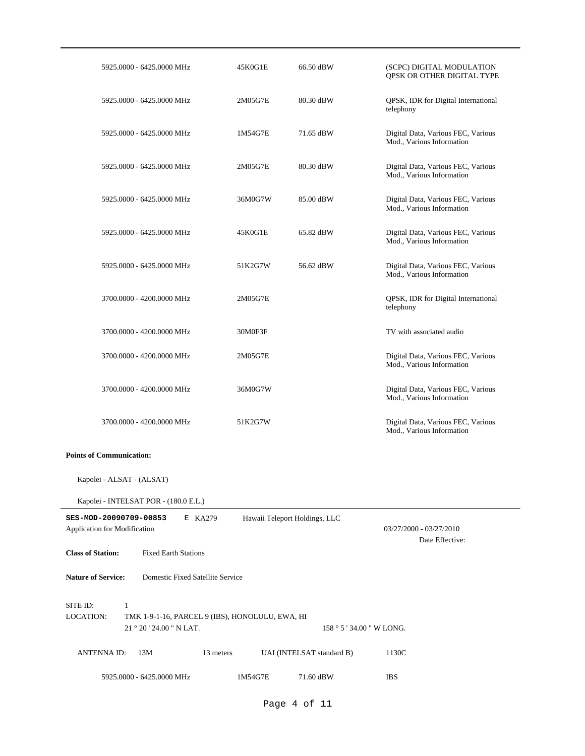| 5925.0000 - 6425.0000 MHz                                                                                                   | 45K0G1E | 66.50 dBW                     | (SCPC) DIGITAL MODULATION<br>QPSK OR OTHER DIGITAL TYPE         |  |  |  |
|-----------------------------------------------------------------------------------------------------------------------------|---------|-------------------------------|-----------------------------------------------------------------|--|--|--|
| 5925.0000 - 6425.0000 MHz                                                                                                   | 2M05G7E | 80.30 dBW                     | QPSK, IDR for Digital International<br>telephony                |  |  |  |
| 5925.0000 - 6425.0000 MHz                                                                                                   | 1M54G7E | 71.65 dBW                     | Digital Data, Various FEC, Various<br>Mod., Various Information |  |  |  |
| 5925.0000 - 6425.0000 MHz                                                                                                   | 2M05G7E | 80.30 dBW                     | Digital Data, Various FEC, Various<br>Mod., Various Information |  |  |  |
| 5925.0000 - 6425.0000 MHz                                                                                                   | 36M0G7W | 85.00 dBW                     | Digital Data, Various FEC, Various<br>Mod., Various Information |  |  |  |
| 5925.0000 - 6425.0000 MHz                                                                                                   | 45K0G1E | 65.82 dBW                     | Digital Data, Various FEC, Various<br>Mod., Various Information |  |  |  |
| 5925.0000 - 6425.0000 MHz                                                                                                   | 51K2G7W | 56.62 dBW                     | Digital Data, Various FEC, Various<br>Mod., Various Information |  |  |  |
| 3700.0000 - 4200.0000 MHz                                                                                                   | 2M05G7E |                               | QPSK, IDR for Digital International<br>telephony                |  |  |  |
| 3700.0000 - 4200.0000 MHz                                                                                                   | 30M0F3F |                               | TV with associated audio                                        |  |  |  |
| 3700.0000 - 4200.0000 MHz                                                                                                   | 2M05G7E |                               | Digital Data, Various FEC, Various<br>Mod., Various Information |  |  |  |
| 3700.0000 - 4200.0000 MHz                                                                                                   | 36M0G7W |                               | Digital Data, Various FEC, Various<br>Mod., Various Information |  |  |  |
| 3700.0000 - 4200.0000 MHz                                                                                                   | 51K2G7W |                               | Digital Data, Various FEC, Various<br>Mod., Various Information |  |  |  |
| <b>Points of Communication:</b>                                                                                             |         |                               |                                                                 |  |  |  |
| Kapolei - ALSAT - (ALSAT)                                                                                                   |         |                               |                                                                 |  |  |  |
| Kapolei - INTELSAT POR - (180.0 E.L.)                                                                                       |         |                               |                                                                 |  |  |  |
| SES-MOD-20090709-00853<br>E KA279<br>Application for Modification                                                           |         | Hawaii Teleport Holdings, LLC | 03/27/2000 - 03/27/2010<br>Date Effective:                      |  |  |  |
| <b>Class of Station:</b><br><b>Fixed Earth Stations</b>                                                                     |         |                               |                                                                 |  |  |  |
| <b>Nature of Service:</b><br>Domestic Fixed Satellite Service                                                               |         |                               |                                                                 |  |  |  |
| SITE ID:<br>$\mathbf{1}$<br><b>LOCATION:</b><br>TMK 1-9-1-16, PARCEL 9 (IBS), HONOLULU, EWA, HI<br>21 ° 20 ' 24.00 " N LAT. |         | 158 ° 5 ' 34.00 " W LONG.     |                                                                 |  |  |  |
| <b>ANTENNA ID:</b><br>13M<br>13 meters                                                                                      |         | UAI (INTELSAT standard B)     | 1130C                                                           |  |  |  |
| 5925.0000 - 6425.0000 MHz                                                                                                   | 1M54G7E | 71.60 dBW                     | <b>IBS</b>                                                      |  |  |  |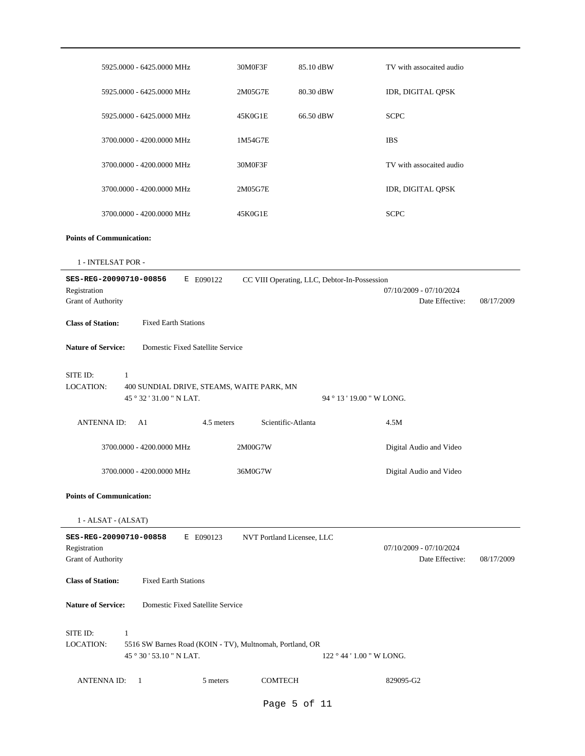|                                 | 5925.0000 - 6425.0000 MHz                                | 30M0F3F                    | 85.10 dBW                                    | TV with assocaited audio |            |
|---------------------------------|----------------------------------------------------------|----------------------------|----------------------------------------------|--------------------------|------------|
|                                 | 5925.0000 - 6425.0000 MHz                                | 2M05G7E                    | 80.30 dBW                                    | IDR, DIGITAL QPSK        |            |
|                                 | 5925.0000 - 6425.0000 MHz                                | 45K0G1E                    | 66.50 dBW                                    | <b>SCPC</b>              |            |
|                                 | 3700.0000 - 4200.0000 MHz                                | 1M54G7E                    |                                              | <b>IBS</b>               |            |
|                                 | 3700.0000 - 4200.0000 MHz                                | 30M0F3F                    |                                              | TV with assocaited audio |            |
|                                 | 3700.0000 - 4200.0000 MHz                                | 2M05G7E                    |                                              | IDR, DIGITAL QPSK        |            |
|                                 | 3700.0000 - 4200.0000 MHz                                | 45K0G1E                    |                                              | <b>SCPC</b>              |            |
| <b>Points of Communication:</b> |                                                          |                            |                                              |                          |            |
| 1 - INTELSAT POR -              |                                                          |                            |                                              |                          |            |
| SES-REG-20090710-00856          | E E090122                                                |                            | CC VIII Operating, LLC, Debtor-In-Possession |                          |            |
| Registration                    |                                                          |                            |                                              | 07/10/2009 - 07/10/2024  |            |
| Grant of Authority              |                                                          |                            |                                              | Date Effective:          | 08/17/2009 |
| <b>Class of Station:</b>        | <b>Fixed Earth Stations</b>                              |                            |                                              |                          |            |
| <b>Nature of Service:</b>       | Domestic Fixed Satellite Service                         |                            |                                              |                          |            |
| SITE ID:                        | $\mathbf{1}$                                             |                            |                                              |                          |            |
| <b>LOCATION:</b>                | 400 SUNDIAL DRIVE, STEAMS, WAITE PARK, MN                |                            |                                              |                          |            |
|                                 | 45 ° 32 ' 31.00 " N LAT.                                 |                            | 94 ° 13 ' 19.00 " W LONG.                    |                          |            |
| <b>ANTENNAID:</b>               | A1<br>4.5 meters                                         | Scientific-Atlanta         |                                              | 4.5M                     |            |
|                                 | 3700.0000 - 4200.0000 MHz                                | 2M00G7W                    |                                              | Digital Audio and Video  |            |
|                                 | 3700.0000 - 4200.0000 MHz                                | 36M0G7W                    |                                              | Digital Audio and Video  |            |
| <b>Points of Communication:</b> |                                                          |                            |                                              |                          |            |
| 1 - ALSAT - (ALSAT)             |                                                          |                            |                                              |                          |            |
| SES-REG-20090710-00858          | E E090123                                                | NVT Portland Licensee, LLC |                                              |                          |            |
| Registration                    |                                                          |                            |                                              | 07/10/2009 - 07/10/2024  |            |
| Grant of Authority              |                                                          |                            |                                              | Date Effective:          | 08/17/2009 |
| <b>Class of Station:</b>        | <b>Fixed Earth Stations</b>                              |                            |                                              |                          |            |
| <b>Nature of Service:</b>       | Domestic Fixed Satellite Service                         |                            |                                              |                          |            |
| SITE ID:                        | $\mathbf{1}$                                             |                            |                                              |                          |            |
| LOCATION:                       | 5516 SW Barnes Road (KOIN - TV), Multnomah, Portland, OR |                            |                                              |                          |            |
|                                 | 45 ° 30 ' 53.10 " N LAT.                                 |                            | 122 ° 44 ' 1.00 " W LONG.                    |                          |            |
| <b>ANTENNA ID:</b>              | -1<br>5 meters                                           | <b>COMTECH</b>             |                                              | 829095-G2                |            |
|                                 |                                                          |                            | Page 5 of 11                                 |                          |            |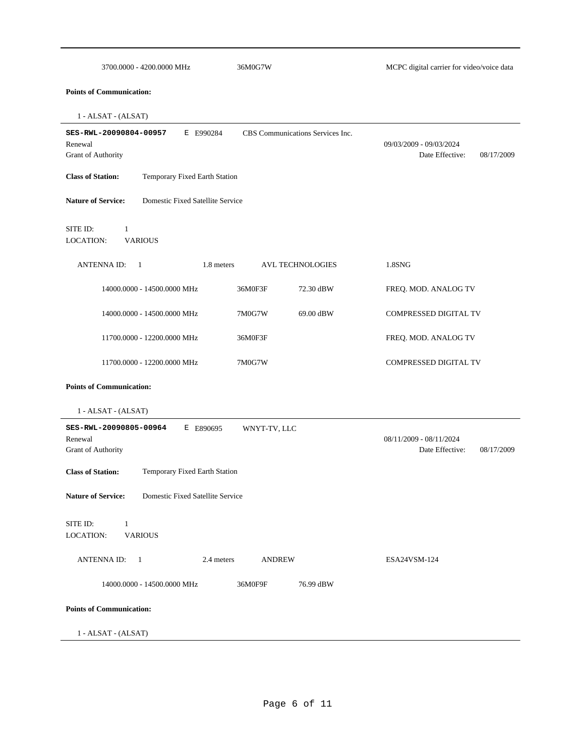| 3700.0000 - 4200.0000 MHz                                            | 36M0G7W                          | MCPC digital carrier for video/voice data                |
|----------------------------------------------------------------------|----------------------------------|----------------------------------------------------------|
| <b>Points of Communication:</b>                                      |                                  |                                                          |
| 1 - ALSAT - (ALSAT)                                                  |                                  |                                                          |
| SES-RWL-20090804-00957<br>E E990284<br>Renewal<br>Grant of Authority | CBS Communications Services Inc. | 09/03/2009 - 09/03/2024<br>Date Effective:<br>08/17/2009 |
| <b>Class of Station:</b><br>Temporary Fixed Earth Station            |                                  |                                                          |
| Domestic Fixed Satellite Service<br><b>Nature of Service:</b>        |                                  |                                                          |
| SITE ID:<br>1<br><b>LOCATION:</b><br><b>VARIOUS</b>                  |                                  |                                                          |
| <b>ANTENNAID:</b><br>1.8 meters<br>-1                                | <b>AVL TECHNOLOGIES</b>          | 1.8SNG                                                   |
| 14000.0000 - 14500.0000 MHz                                          | 36M0F3F<br>72.30 dBW             | FREQ. MOD. ANALOG TV                                     |
| 14000.0000 - 14500.0000 MHz                                          | 7M0G7W<br>69.00 dBW              | COMPRESSED DIGITAL TV                                    |
| 11700.0000 - 12200.0000 MHz                                          | 36M0F3F                          | FREQ. MOD. ANALOG TV                                     |
| 11700.0000 - 12200.0000 MHz                                          | 7M0G7W                           | COMPRESSED DIGITAL TV                                    |
| <b>Points of Communication:</b>                                      |                                  |                                                          |
| 1 - ALSAT - (ALSAT)                                                  |                                  |                                                          |
| SES-RWL-20090805-00964<br>E E890695<br>Renewal<br>Grant of Authority | WNYT-TV, LLC                     | 08/11/2009 - 08/11/2024<br>Date Effective:<br>08/17/2009 |
| <b>Class of Station:</b><br>Temporary Fixed Earth Station            |                                  |                                                          |
| <b>Nature of Service:</b><br>Domestic Fixed Satellite Service        |                                  |                                                          |
| SITE ID:<br>$\mathbf{1}$<br><b>VARIOUS</b><br>LOCATION:              |                                  |                                                          |
| <b>ANTENNA ID:</b><br>- 1<br>2.4 meters                              | <b>ANDREW</b>                    | ESA24VSM-124                                             |
| 14000.0000 - 14500.0000 MHz                                          | 36M0F9F<br>76.99 dBW             |                                                          |
| <b>Points of Communication:</b>                                      |                                  |                                                          |
| 1 - ALSAT - (ALSAT)                                                  |                                  |                                                          |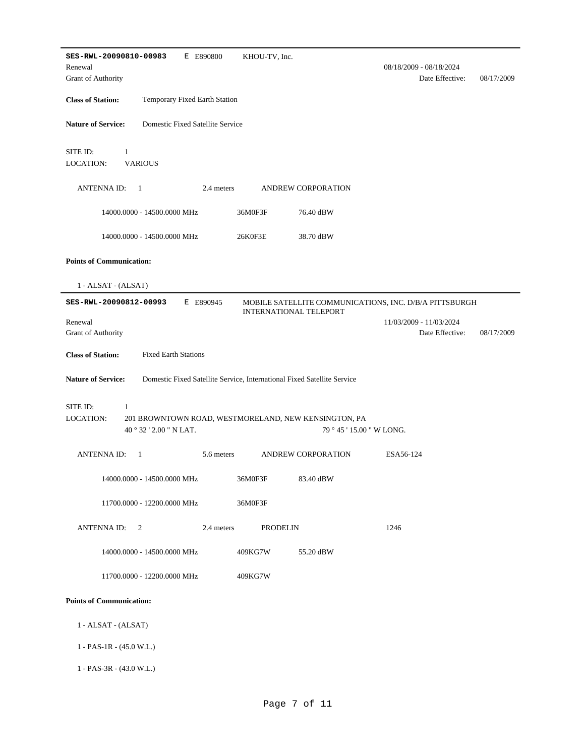| SES-RWL-20090810-00983<br>E E890800                                                          | KHOU-TV, Inc.                                                           |                               |                                                        |            |
|----------------------------------------------------------------------------------------------|-------------------------------------------------------------------------|-------------------------------|--------------------------------------------------------|------------|
| Renewal                                                                                      |                                                                         |                               | 08/18/2009 - 08/18/2024                                |            |
| Grant of Authority                                                                           |                                                                         |                               | Date Effective:                                        | 08/17/2009 |
| <b>Class of Station:</b><br>Temporary Fixed Earth Station                                    |                                                                         |                               |                                                        |            |
| <b>Nature of Service:</b><br>Domestic Fixed Satellite Service                                |                                                                         |                               |                                                        |            |
| SITE ID:<br>$\mathbf{1}$                                                                     |                                                                         |                               |                                                        |            |
| LOCATION:<br><b>VARIOUS</b>                                                                  |                                                                         |                               |                                                        |            |
| <b>ANTENNAID:</b><br>-1                                                                      | 2.4 meters                                                              | ANDREW CORPORATION            |                                                        |            |
| 14000.0000 - 14500.0000 MHz                                                                  | 36M0F3F                                                                 | 76.40 dBW                     |                                                        |            |
| 14000.0000 - 14500.0000 MHz                                                                  | 26K0F3E                                                                 | 38.70 dBW                     |                                                        |            |
| <b>Points of Communication:</b>                                                              |                                                                         |                               |                                                        |            |
| 1 - ALSAT - (ALSAT)                                                                          |                                                                         |                               |                                                        |            |
| SES-RWL-20090812-00993<br>E E890945                                                          |                                                                         | <b>INTERNATIONAL TELEPORT</b> | MOBILE SATELLITE COMMUNICATIONS, INC. D/B/A PITTSBURGH |            |
| Renewal<br>Grant of Authority                                                                |                                                                         |                               | 11/03/2009 - 11/03/2024<br>Date Effective:             | 08/17/2009 |
| <b>Class of Station:</b><br><b>Fixed Earth Stations</b>                                      |                                                                         |                               |                                                        |            |
| <b>Nature of Service:</b>                                                                    | Domestic Fixed Satellite Service, International Fixed Satellite Service |                               |                                                        |            |
| SITE ID:<br>1                                                                                |                                                                         |                               |                                                        |            |
| LOCATION:<br>201 BROWNTOWN ROAD, WESTMORELAND, NEW KENSINGTON, PA<br>40 ° 32 ' 2.00 " N LAT. |                                                                         | 79 ° 45 ' 15.00 " W LONG.     |                                                        |            |
| <b>ANTENNAID:</b><br>$\mathbf{1}$                                                            | 5.6 meters                                                              | ANDREW CORPORATION            | ESA56-124                                              |            |
| 14000.0000 - 14500.0000 MHz                                                                  | 36M0F3F                                                                 | 83.40 dBW                     |                                                        |            |
| 11700.0000 - 12200.0000 MHz                                                                  | 36M0F3F                                                                 |                               |                                                        |            |
| <b>ANTENNAID:</b><br>2                                                                       | 2.4 meters<br><b>PRODELIN</b>                                           |                               | 1246                                                   |            |
| 14000.0000 - 14500.0000 MHz                                                                  | 409KG7W                                                                 | 55.20 dBW                     |                                                        |            |
| 11700.0000 - 12200.0000 MHz                                                                  | 409KG7W                                                                 |                               |                                                        |            |
| <b>Points of Communication:</b>                                                              |                                                                         |                               |                                                        |            |
| 1 - ALSAT - (ALSAT)                                                                          |                                                                         |                               |                                                        |            |
| $1 - PAS-1R - (45.0 W.L.)$                                                                   |                                                                         |                               |                                                        |            |
| 1 - PAS-3R - (43.0 W.L.)                                                                     |                                                                         |                               |                                                        |            |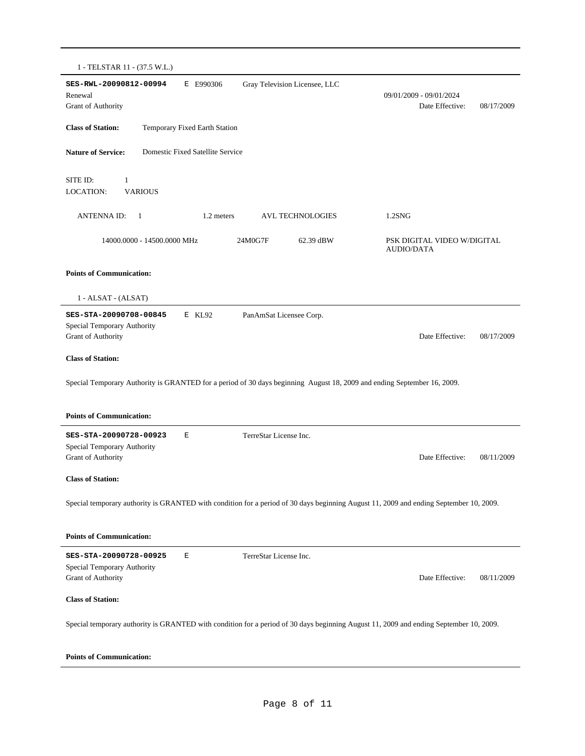| 1 - TELSTAR 11 - (37.5 W.L.)                                                |                                  |                                                                                                                                        |                                                  |            |
|-----------------------------------------------------------------------------|----------------------------------|----------------------------------------------------------------------------------------------------------------------------------------|--------------------------------------------------|------------|
| SES-RWL-20090812-00994<br>Renewal<br><b>Grant of Authority</b>              | E E990306                        | Gray Television Licensee, LLC                                                                                                          | 09/01/2009 - 09/01/2024<br>Date Effective:       | 08/17/2009 |
| <b>Class of Station:</b>                                                    | Temporary Fixed Earth Station    |                                                                                                                                        |                                                  |            |
| <b>Nature of Service:</b>                                                   | Domestic Fixed Satellite Service |                                                                                                                                        |                                                  |            |
| SITE ID:<br>$\mathbf{1}$<br><b>LOCATION:</b><br><b>VARIOUS</b>              |                                  |                                                                                                                                        |                                                  |            |
| <b>ANTENNAID:</b><br>-1                                                     | 1.2 meters                       | <b>AVL TECHNOLOGIES</b>                                                                                                                | $1.2$ SNG                                        |            |
| 14000.0000 - 14500.0000 MHz                                                 |                                  | 24M0G7F<br>62.39 dBW                                                                                                                   | PSK DIGITAL VIDEO W/DIGITAL<br><b>AUDIO/DATA</b> |            |
| <b>Points of Communication:</b>                                             |                                  |                                                                                                                                        |                                                  |            |
| 1 - ALSAT - (ALSAT)                                                         |                                  |                                                                                                                                        |                                                  |            |
| SES-STA-20090708-00845<br>Special Temporary Authority<br>Grant of Authority | E KL92                           | PanAmSat Licensee Corp.                                                                                                                | Date Effective:                                  | 08/17/2009 |
| <b>Class of Station:</b>                                                    |                                  |                                                                                                                                        |                                                  |            |
|                                                                             |                                  | Special Temporary Authority is GRANTED for a period of 30 days beginning August 18, 2009 and ending September 16, 2009.                |                                                  |            |
|                                                                             |                                  |                                                                                                                                        |                                                  |            |
| <b>Points of Communication:</b>                                             |                                  |                                                                                                                                        |                                                  |            |
| SES-STA-20090728-00923<br>Special Temporary Authority                       | E                                | TerreStar License Inc.                                                                                                                 |                                                  |            |
| Grant of Authority                                                          |                                  |                                                                                                                                        | Date Effective:                                  | 08/11/2009 |
| <b>Class of Station:</b>                                                    |                                  |                                                                                                                                        |                                                  |            |
|                                                                             |                                  | Special temporary authority is GRANTED with condition for a period of 30 days beginning August 11, 2009 and ending September 10, 2009. |                                                  |            |
| <b>Points of Communication:</b>                                             |                                  |                                                                                                                                        |                                                  |            |
| SES-STA-20090728-00925<br>Special Temporary Authority                       | Е                                | TerreStar License Inc.                                                                                                                 |                                                  |            |
| Grant of Authority                                                          |                                  |                                                                                                                                        | Date Effective:                                  | 08/11/2009 |
| <b>Class of Station:</b>                                                    |                                  |                                                                                                                                        |                                                  |            |
|                                                                             |                                  | Special temporary authority is GRANTED with condition for a period of 30 days beginning August 11, 2009 and ending September 10, 2009. |                                                  |            |
| <b>Points of Communication:</b>                                             |                                  |                                                                                                                                        |                                                  |            |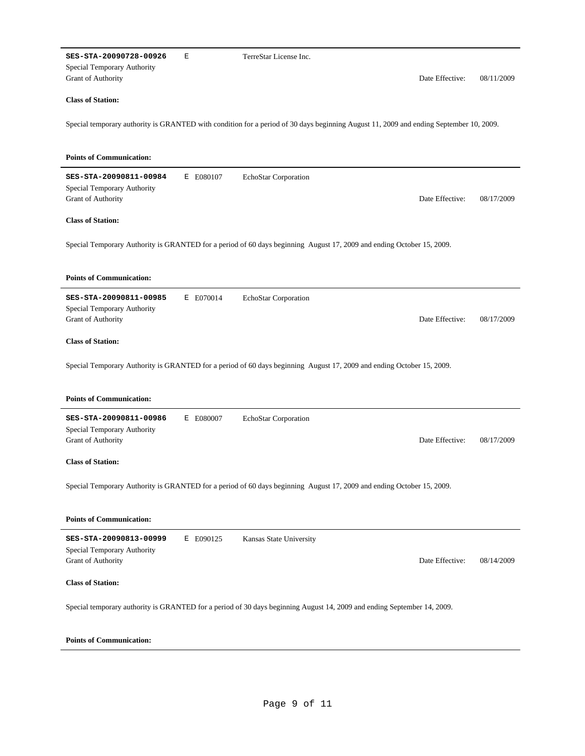| SES-STA-20090728-00926                                | Е         | TerreStar License Inc.                                                                                                                 |            |
|-------------------------------------------------------|-----------|----------------------------------------------------------------------------------------------------------------------------------------|------------|
| Special Temporary Authority<br>Grant of Authority     |           | Date Effective:                                                                                                                        | 08/11/2009 |
| <b>Class of Station:</b>                              |           |                                                                                                                                        |            |
|                                                       |           | Special temporary authority is GRANTED with condition for a period of 30 days beginning August 11, 2009 and ending September 10, 2009. |            |
| <b>Points of Communication:</b>                       |           |                                                                                                                                        |            |
| SES-STA-20090811-00984                                | E E080107 | EchoStar Corporation                                                                                                                   |            |
| Special Temporary Authority<br>Grant of Authority     |           | Date Effective:                                                                                                                        | 08/17/2009 |
| <b>Class of Station:</b>                              |           |                                                                                                                                        |            |
|                                                       |           | Special Temporary Authority is GRANTED for a period of 60 days beginning August 17, 2009 and ending October 15, 2009.                  |            |
|                                                       |           |                                                                                                                                        |            |
| <b>Points of Communication:</b>                       |           |                                                                                                                                        |            |
| SES-STA-20090811-00985<br>Special Temporary Authority | E E070014 | EchoStar Corporation                                                                                                                   |            |
| Grant of Authority                                    |           | Date Effective:                                                                                                                        | 08/17/2009 |
| <b>Class of Station:</b>                              |           |                                                                                                                                        |            |
|                                                       |           |                                                                                                                                        |            |
|                                                       |           | Special Temporary Authority is GRANTED for a period of 60 days beginning August 17, 2009 and ending October 15, 2009.                  |            |
|                                                       |           |                                                                                                                                        |            |
| <b>Points of Communication:</b>                       |           |                                                                                                                                        |            |
| SES-STA-20090811-00986                                | E E080007 | EchoStar Corporation                                                                                                                   |            |
| Special Temporary Authority                           |           |                                                                                                                                        |            |
| Grant of Authority                                    |           | Date Effective:                                                                                                                        | 08/17/2009 |
| <b>Class of Station:</b>                              |           |                                                                                                                                        |            |
|                                                       |           | Special Temporary Authority is GRANTED for a period of 60 days beginning August 17, 2009 and ending October 15, 2009.                  |            |
| <b>Points of Communication:</b>                       |           |                                                                                                                                        |            |
| SES-STA-20090813-00999                                | E E090125 | Kansas State University                                                                                                                |            |
| Special Temporary Authority<br>Grant of Authority     |           | Date Effective:                                                                                                                        | 08/14/2009 |
| <b>Class of Station:</b>                              |           |                                                                                                                                        |            |
|                                                       |           | Special temporary authority is GRANTED for a period of 30 days beginning August 14, 2009 and ending September 14, 2009.                |            |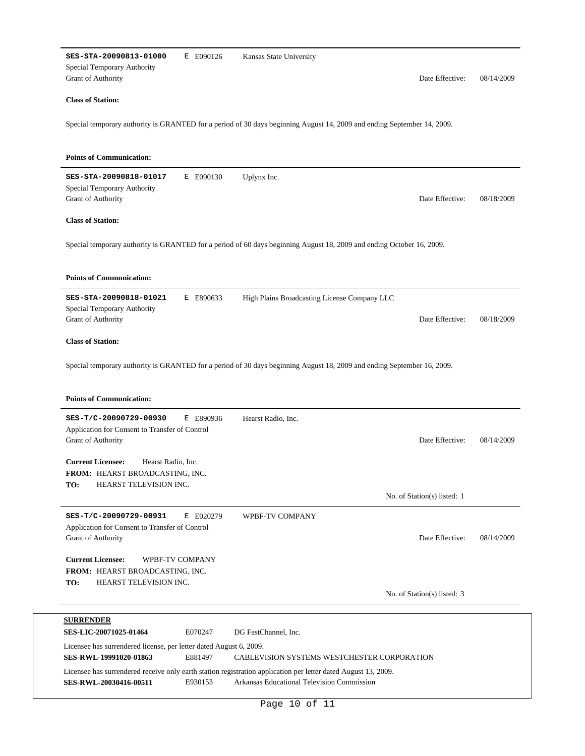| SES-STA-20090813-01000<br>Special Temporary Authority<br>Grant of Authority                                        | E E090126       | Kansas State University<br>Date Effective:                                                                                                                   | 08/14/2009 |
|--------------------------------------------------------------------------------------------------------------------|-----------------|--------------------------------------------------------------------------------------------------------------------------------------------------------------|------------|
| <b>Class of Station:</b>                                                                                           |                 |                                                                                                                                                              |            |
|                                                                                                                    |                 | Special temporary authority is GRANTED for a period of 30 days beginning August 14, 2009 and ending September 14, 2009.                                      |            |
| <b>Points of Communication:</b>                                                                                    |                 |                                                                                                                                                              |            |
| SES-STA-20090818-01017<br>Special Temporary Authority<br>Grant of Authority                                        | E E090130       | Uplynx Inc.<br>Date Effective:                                                                                                                               | 08/18/2009 |
| <b>Class of Station:</b>                                                                                           |                 |                                                                                                                                                              |            |
|                                                                                                                    |                 | Special temporary authority is GRANTED for a period of 60 days beginning August 18, 2009 and ending October 16, 2009.                                        |            |
| <b>Points of Communication:</b>                                                                                    |                 |                                                                                                                                                              |            |
| SES-STA-20090818-01021<br>Special Temporary Authority<br>Grant of Authority                                        | E E890633       | High Plains Broadcasting License Company LLC<br>Date Effective:                                                                                              | 08/18/2009 |
| <b>Class of Station:</b>                                                                                           |                 |                                                                                                                                                              |            |
| <b>Points of Communication:</b>                                                                                    |                 | Special temporary authority is GRANTED for a period of 30 days beginning August 18, 2009 and ending September 16, 2009.                                      |            |
| SES-T/C-20090729-00930<br>Application for Consent to Transfer of Control<br>Grant of Authority                     | E E890936       | Hearst Radio, Inc.<br>Date Effective:                                                                                                                        | 08/14/2009 |
| <b>Current Licensee:</b><br>Hearst Radio, Inc.<br>FROM: HEARST BROADCASTING, INC.<br>TO:<br>HEARST TELEVISION INC. |                 |                                                                                                                                                              |            |
|                                                                                                                    |                 | No. of Station(s) listed: 1                                                                                                                                  |            |
| SES-T/C-20090729-00931<br>Application for Consent to Transfer of Control<br>Grant of Authority                     | E E020279       | WPBF-TV COMPANY<br>Date Effective:                                                                                                                           | 08/14/2009 |
| <b>Current Licensee:</b><br>FROM: HEARST BROADCASTING, INC.                                                        | WPBF-TV COMPANY |                                                                                                                                                              |            |
| TO:<br>HEARST TELEVISION INC.                                                                                      |                 | No. of Station(s) listed: 3                                                                                                                                  |            |
| <b>SURRENDER</b>                                                                                                   |                 |                                                                                                                                                              |            |
| SES-LIC-20071025-01464                                                                                             | E070247         | DG FastChannel, Inc.                                                                                                                                         |            |
| Licensee has surrendered license, per letter dated August 6, 2009.<br>SES-RWL-19991020-01863                       | E881497         | CABLEVISION SYSTEMS WESTCHESTER CORPORATION                                                                                                                  |            |
| SES-RWL-20030416-00511                                                                                             | E930153         | Licensee has surrendered receive only earth station registration application per letter dated August 13, 2009.<br>Arkansas Educational Television Commission |            |